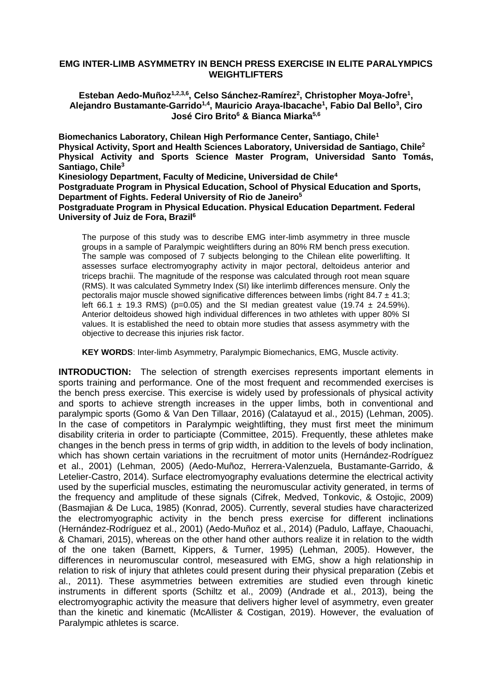## **EMG INTER-LIMB ASYMMETRY IN BENCH PRESS EXERCISE IN ELITE PARALYMPICS WEIGHTLIFTERS**

Esteban Aedo-Muñoz<sup>1,2,3,6</sup>, Celso Sánchez-Ramírez<sup>2</sup>, Christopher Moya-Jofre<sup>1</sup>, **Alejandro Bustamante-Garrido1,4 , Mauricio Araya-Ibacache<sup>1</sup> , Fabio Dal Bello<sup>3</sup> , Ciro José Ciro Brito<sup>6</sup> & Bianca Miarka5,6**

**Biomechanics Laboratory, Chilean High Performance Center, Santiago, Chile<sup>1</sup> Physical Activity, Sport and Health Sciences Laboratory, Universidad de Santiago, Chile<sup>2</sup> Physical Activity and Sports Science Master Program, Universidad Santo Tomás, Santiago, Chile<sup>3</sup> Kinesiology Department, Faculty of Medicine, Universidad de Chile<sup>4</sup> Postgraduate Program in Physical Education, School of Physical Education and Sports,** 

**Department of Fights. Federal University of Rio de Janeiro<sup>5</sup>**

**Postgraduate Program in Physical Education. Physical Education Department. Federal University of Juiz de Fora, Brazil<sup>6</sup>**

The purpose of this study was to describe EMG inter-limb asymmetry in three muscle groups in a sample of Paralympic weightlifters during an 80% RM bench press execution. The sample was composed of 7 subjects belonging to the Chilean elite powerlifting. It assesses surface electromyography activity in major pectoral, deltoideus anterior and triceps brachii. The magnitude of the response was calculated through root mean square (RMS). It was calculated Symmetry Index (SI) like interlimb differences mensure. Only the pectoralis major muscle showed significative differences between limbs (right 84.7  $\pm$  41.3; left 66.1  $\pm$  19.3 RMS) (p=0.05) and the SI median greatest value (19.74  $\pm$  24.59%). Anterior deltoideus showed high individual differences in two athletes with upper 80% SI values. It is established the need to obtain more studies that assess asymmetry with the objective to decrease this injuries risk factor.

**KEY WORDS**: Inter-limb Asymmetry, Paralympic Biomechanics, EMG, Muscle activity.

**INTRODUCTION:** The selection of strength exercises represents important elements in sports training and performance. One of the most frequent and recommended exercises is the bench press exercise. This exercise is widely used by professionals of physical activity and sports to achieve strength increases in the upper limbs, both in conventional and paralympic sports (Gomo & Van Den Tillaar, 2016) (Calatayud et al., 2015) (Lehman, 2005). In the case of competitors in Paralympic weightlifting, they must first meet the minimum disability criteria in order to particiapte (Committee, 2015). Frequently, these athletes make changes in the bench press in terms of grip width, in addition to the levels of body inclination, which has shown certain variations in the recruitment of motor units (Hernández-Rodríguez et al., 2001) (Lehman, 2005) (Aedo-Muñoz, Herrera-Valenzuela, Bustamante-Garrido, & Letelier-Castro, 2014). Surface electromyography evaluations determine the electrical activity used by the superficial muscles, estimating the neuromuscular activity generated, in terms of the frequency and amplitude of these signals (Cifrek, Medved, Tonkovic, & Ostojic, 2009) (Basmajian & De Luca, 1985) (Konrad, 2005). Currently, several studies have characterized the electromyographic activity in the bench press exercise for different inclinations (Hernández-Rodríguez et al., 2001) (Aedo-Muñoz et al., 2014) (Padulo, Laffaye, Chaouachi, & Chamari, 2015), whereas on the other hand other authors realize it in relation to the width of the one taken (Barnett, Kippers, & Turner, 1995) (Lehman, 2005). However, the differences in neuromuscular control, meseasured with EMG, show a high relationship in relation to risk of injury that athletes could present during their physical preparation (Zebis et al., 2011). These asymmetries between extremities are studied even through kinetic instruments in different sports (Schiltz et al., 2009) (Andrade et al., 2013), being the electromyographic activity the measure that delivers higher level of asymmetry, even greater than the kinetic and kinematic (McAllister & Costigan, 2019). However, the evaluation of Paralympic athletes is scarce.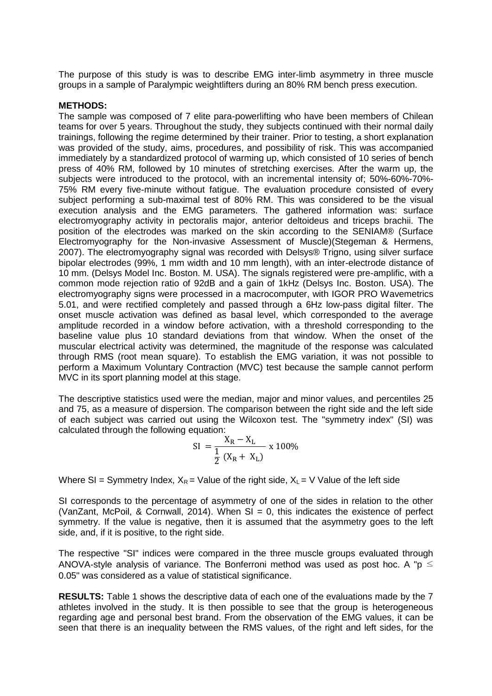The purpose of this study is was to describe EMG inter-limb asymmetry in three muscle groups in a sample of Paralympic weightlifters during an 80% RM bench press execution.

## **METHODS:**

The sample was composed of 7 elite para-powerlifting who have been members of Chilean teams for over 5 years. Throughout the study, they subjects continued with their normal daily trainings, following the regime determined by their trainer. Prior to testing, a short explanation was provided of the study, aims, procedures, and possibility of risk. This was accompanied immediately by a standardized protocol of warming up, which consisted of 10 series of bench press of 40% RM, followed by 10 minutes of stretching exercises. After the warm up, the subjects were introduced to the protocol, with an incremental intensity of; 50%-60%-70%- 75% RM every five-minute without fatigue. The evaluation procedure consisted of every subject performing a sub-maximal test of 80% RM. This was considered to be the visual execution analysis and the EMG parameters. The gathered information was: surface electromyography activity in pectoralis major, anterior deltoideus and triceps brachii. The position of the electrodes was marked on the skin according to the SENIAM® (Surface Electromyography for the Non-invasive Assessment of Muscle)(Stegeman & Hermens, 2007). The electromyography signal was recorded with Delsys® Trigno, using silver surface bipolar electrodes (99%, 1 mm width and 10 mm length), with an inter-electrode distance of 10 mm. (Delsys Model Inc. Boston. M. USA). The signals registered were pre-amplific, with a common mode rejection ratio of 92dB and a gain of 1kHz (Delsys Inc. Boston. USA). The electromyography signs were processed in a macrocomputer, with IGOR PRO Wavemetrics 5.01, and were rectified completely and passed through a 6Hz low-pass digital filter. The onset muscle activation was defined as basal level, which corresponded to the average amplitude recorded in a window before activation, with a threshold corresponding to the baseline value plus 10 standard deviations from that window. When the onset of the muscular electrical activity was determined, the magnitude of the response was calculated through RMS (root mean square). To establish the EMG variation, it was not possible to perform a Maximum Voluntary Contraction (MVC) test because the sample cannot perform MVC in its sport planning model at this stage.

The descriptive statistics used were the median, major and minor values, and percentiles 25 and 75, as a measure of dispersion. The comparison between the right side and the left side of each subject was carried out using the Wilcoxon test. The "symmetry index" (SI) was calculated through the following equation:

SI = 
$$
\frac{X_R - X_L}{\frac{1}{2} (X_R + X_L)} \times 100\%
$$

Where SI = Symmetry Index,  $X_R =$  Value of the right side,  $X_L = V$  Value of the left side

SI corresponds to the percentage of asymmetry of one of the sides in relation to the other (VanZant, McPoil, & Cornwall, 2014). When  $SI = 0$ , this indicates the existence of perfect symmetry. If the value is negative, then it is assumed that the asymmetry goes to the left side, and, if it is positive, to the right side.

The respective "SI" indices were compared in the three muscle groups evaluated through ANOVA-style analysis of variance. The Bonferroni method was used as post hoc. A " $p \le$ 0.05" was considered as a value of statistical significance.

**RESULTS:** Table 1 shows the descriptive data of each one of the evaluations made by the 7 athletes involved in the study. It is then possible to see that the group is heterogeneous regarding age and personal best brand. From the observation of the EMG values, it can be seen that there is an inequality between the RMS values, of the right and left sides, for the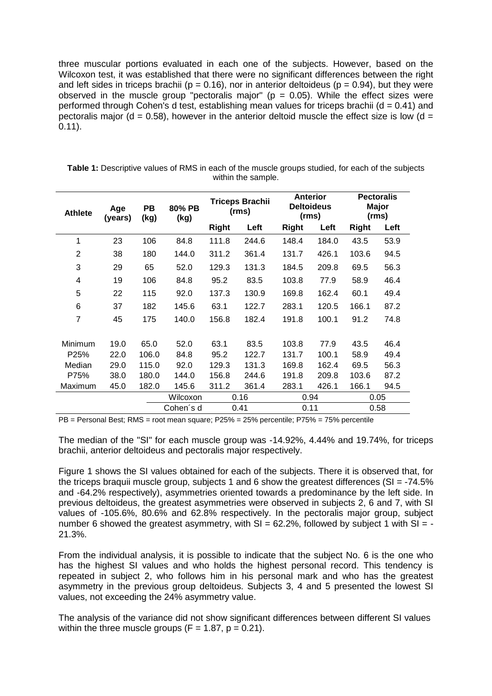three muscular portions evaluated in each one of the subjects. However, based on the Wilcoxon test, it was established that there were no significant differences between the right and left sides in triceps brachii ( $p = 0.16$ ), nor in anterior deltoideus ( $p = 0.94$ ), but they were observed in the muscle group "pectoralis major" ( $p = 0.05$ ). While the effect sizes were performed through Cohen's d test, establishing mean values for triceps brachii ( $d = 0.41$ ) and pectoralis major ( $d = 0.58$ ), however in the anterior deltoid muscle the effect size is low ( $d =$ 0.11).

| <b>Athlete</b> | Age<br>(years) | <b>PB</b><br>(kg) | 80% PB<br>(kg) | <b>Triceps Brachii</b><br>(rms) |       | <b>Anterior</b><br><b>Deltoideus</b><br>(rms) |       | <b>Pectoralis</b><br>Major<br>(rms) |      |
|----------------|----------------|-------------------|----------------|---------------------------------|-------|-----------------------------------------------|-------|-------------------------------------|------|
|                |                |                   |                | <b>Right</b>                    | Left  | <b>Right</b>                                  | Left  | <b>Right</b>                        | Left |
| 1              | 23             | 106               | 84.8           | 111.8                           | 244.6 | 148.4                                         | 184.0 | 43.5                                | 53.9 |
| 2              | 38             | 180               | 144.0          | 311.2                           | 361.4 | 131.7                                         | 426.1 | 103.6                               | 94.5 |
| 3              | 29             | 65                | 52.0           | 129.3                           | 131.3 | 184.5                                         | 209.8 | 69.5                                | 56.3 |
| 4              | 19             | 106               | 84.8           | 95.2                            | 83.5  | 103.8                                         | 77.9  | 58.9                                | 46.4 |
| 5              | 22             | 115               | 92.0           | 137.3                           | 130.9 | 169.8                                         | 162.4 | 60.1                                | 49.4 |
| 6              | 37             | 182               | 145.6          | 63.1                            | 122.7 | 283.1                                         | 120.5 | 166.1                               | 87.2 |
| $\overline{7}$ | 45             | 175               | 140.0          | 156.8                           | 182.4 | 191.8                                         | 100.1 | 91.2                                | 74.8 |
| Minimum        | 19.0           | 65.0              | 52.0           | 63.1                            | 83.5  | 103.8                                         | 77.9  | 43.5                                | 46.4 |
| P25%           | 22.0           | 106.0             | 84.8           | 95.2                            | 122.7 | 131.7                                         | 100.1 | 58.9                                | 49.4 |
| Median         | 29.0           | 115.0             | 92.0           | 129.3                           | 131.3 | 169.8                                         | 162.4 | 69.5                                | 56.3 |
| P75%           | 38.0           | 180.0             | 144.0          | 156.8                           | 244.6 | 191.8                                         | 209.8 | 103.6                               | 87.2 |
| Maximum        | 45.0           | 182.0             | 145.6          | 311.2                           | 361.4 | 283.1                                         | 426.1 | 166.1                               | 94.5 |
|                |                |                   | Wilcoxon       | 0.16                            |       | 0.94                                          |       | 0.05                                |      |
|                |                |                   | Cohen's d      | 0.41                            |       | 0.11                                          |       | 0.58                                |      |

**Table 1:** Descriptive values of RMS in each of the muscle groups studied, for each of the subjects within the sample.

PB = Personal Best; RMS = root mean square; P25% = 25% percentile; P75% = 75% percentile

The median of the "SI" for each muscle group was -14.92%, 4.44% and 19.74%, for triceps brachii, anterior deltoideus and pectoralis major respectively.

Figure 1 shows the SI values obtained for each of the subjects. There it is observed that, for the triceps braquii muscle group, subjects 1 and 6 show the greatest differences (SI =  $-74.5\%$ ) and -64.2% respectively), asymmetries oriented towards a predominance by the left side. In previous deltoideus, the greatest asymmetries were observed in subjects 2, 6 and 7, with SI values of -105.6%, 80.6% and 62.8% respectively. In the pectoralis major group, subject number 6 showed the greatest asymmetry, with  $SI = 62.2\%$ , followed by subject 1 with  $SI = -$ 21.3%.

From the individual analysis, it is possible to indicate that the subject No. 6 is the one who has the highest SI values and who holds the highest personal record. This tendency is repeated in subject 2, who follows him in his personal mark and who has the greatest asymmetry in the previous group deltoideus. Subjects 3, 4 and 5 presented the lowest SI values, not exceeding the 24% asymmetry value.

The analysis of the variance did not show significant differences between different SI values within the three muscle groups  $(F = 1.87, p = 0.21)$ .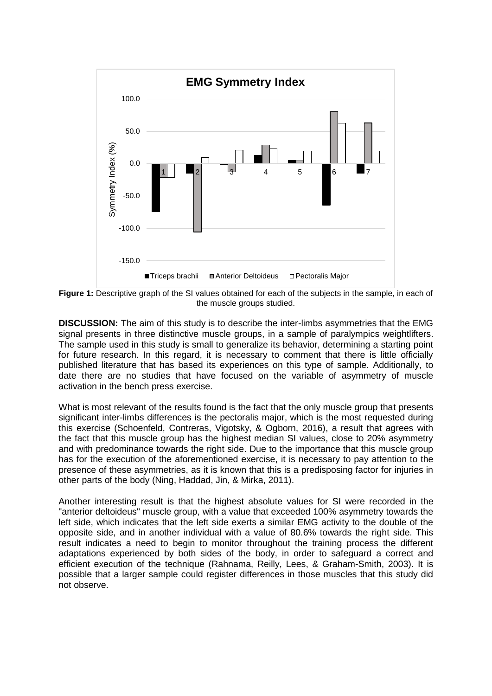

Figure 1: Descriptive graph of the SI values obtained for each of the subjects in the sample, in each of the muscle groups studied.

**DISCUSSION:** The aim of this study is to describe the inter-limbs asymmetries that the EMG signal presents in three distinctive muscle groups, in a sample of paralympics weightlifters. The sample used in this study is small to generalize its behavior, determining a starting point for future research. In this regard, it is necessary to comment that there is little officially published literature that has based its experiences on this type of sample. Additionally, to date there are no studies that have focused on the variable of asymmetry of muscle activation in the bench press exercise.

What is most relevant of the results found is the fact that the only muscle group that presents significant inter-limbs differences is the pectoralis major, which is the most requested during this exercise (Schoenfeld, Contreras, Vigotsky, & Ogborn, 2016), a result that agrees with the fact that this muscle group has the highest median SI values, close to 20% asymmetry and with predominance towards the right side. Due to the importance that this muscle group has for the execution of the aforementioned exercise, it is necessary to pay attention to the presence of these asymmetries, as it is known that this is a predisposing factor for injuries in other parts of the body (Ning, Haddad, Jin, & Mirka, 2011).

Another interesting result is that the highest absolute values for SI were recorded in the "anterior deltoideus" muscle group, with a value that exceeded 100% asymmetry towards the left side, which indicates that the left side exerts a similar EMG activity to the double of the opposite side, and in another individual with a value of 80.6% towards the right side. This result indicates a need to begin to monitor throughout the training process the different adaptations experienced by both sides of the body, in order to safeguard a correct and efficient execution of the technique (Rahnama, Reilly, Lees, & Graham-Smith, 2003). It is possible that a larger sample could register differences in those muscles that this study did not observe.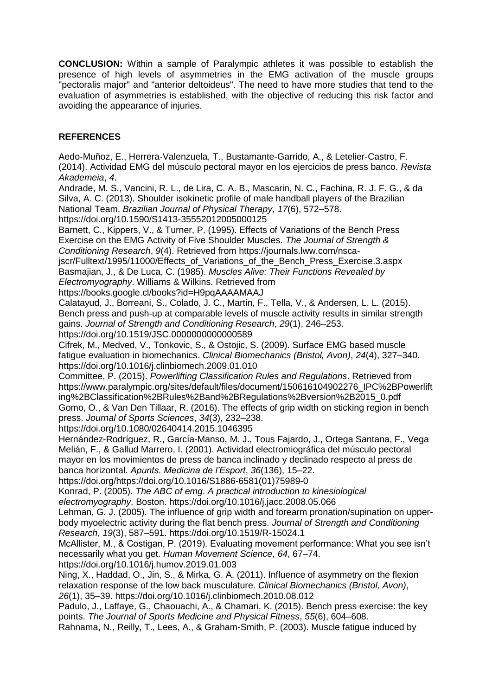**CONCLUSION:** Within a sample of Paralympic athletes it was possible to establish the presence of high levels of asymmetries in the EMG activation of the muscle groups "pectoralis major" and "anterior deltoideus". The need to have more studies that tend to the evaluation of asymmetries is established, with the objective of reducing this risk factor and avoiding the appearance of injuries.

## **REFERENCES**

Aedo-Muñoz, E., Herrera-Valenzuela, T., Bustamante-Garrido, A., & Letelier-Castro, F. (2014). Actividad EMG del músculo pectoral mayor en los ejercicios de press banco. *Revista Akademeia*, *4*. Andrade, M. S., Vancini, R. L., de Lira, C. A. B., Mascarin, N. C., Fachina, R. J. F. G., & da Silva, A. C. (2013). Shoulder isokinetic profile of male handball players of the Brazilian National Team. *Brazilian Journal of Physical Therapy*, *17*(6), 572–578. https://doi.org/10.1590/S1413-35552012005000125 Barnett, C., Kippers, V., & Turner, P. (1995). Effects of Variations of the Bench Press Exercise on the EMG Activity of Five Shoulder Muscles. *The Journal of Strength & Conditioning Research*, *9*(4). Retrieved from https://journals.lww.com/nscajscr/Fulltext/1995/11000/Effects\_of\_Variations\_of\_the\_Bench\_Press\_Exercise.3.aspx Basmajian, J., & De Luca, C. (1985). *Muscles Alive: Their Functions Revealed by Electromyography*. Williams & Wilkins. Retrieved from https://books.google.cl/books?id=H9pqAAAAMAAJ Calatayud, J., Borreani, S., Colado, J. C., Martin, F., Tella, V., & Andersen, L. L. (2015). Bench press and push-up at comparable levels of muscle activity results in similar strength gains. *Journal of Strength and Conditioning Research*, *29*(1), 246–253. https://doi.org/10.1519/JSC.0000000000000589 Cifrek, M., Medved, V., Tonkovic, S., & Ostojic, S. (2009). Surface EMG based muscle fatigue evaluation in biomechanics. *Clinical Biomechanics (Bristol, Avon)*, *24*(4), 327–340. https://doi.org/10.1016/j.clinbiomech.2009.01.010 Committee, P. (2015). *Powerlifting Classification Rules and Regulations*. Retrieved from https://www.paralympic.org/sites/default/files/document/150616104902276\_IPC%2BPowerlift ing%2BClassification%2BRules%2Band%2BRegulations%2Bversion%2B2015\_0.pdf Gomo, O., & Van Den Tillaar, R. (2016). The effects of grip width on sticking region in bench press. *Journal of Sports Sciences*, *34*(3), 232–238. https://doi.org/10.1080/02640414.2015.1046395 Hernández-Rodríguez, R., García-Manso, M. J., Tous Fajardo, J., Ortega Santana, F., Vega Melián, F., & Gallud Marrero, I. (2001). Actividad electromiográfica del músculo pectoral mayor en los movimientos de press de banca inclinado y declinado respecto al press de banca horizontal. *Apunts. Medicina de l'Esport*, *36*(136), 15–22. https://doi.org/https://doi.org/10.1016/S1886-6581(01)75989-0 Konrad, P. (2005). *The ABC of emg*. *A practical introduction to kinesiological electromyography*. Boston. https://doi.org/10.1016/j.jacc.2008.05.066 Lehman, G. J. (2005). The influence of grip width and forearm pronation/supination on upperbody myoelectric activity during the flat bench press. *Journal of Strength and Conditioning Research*, *19*(3), 587–591. https://doi.org/10.1519/R-15024.1 McAllister, M., & Costigan, P. (2019). Evaluating movement performance: What you see isn't necessarily what you get. *Human Movement Science*, *64*, 67–74. https://doi.org/10.1016/j.humov.2019.01.003 Ning, X., Haddad, O., Jin, S., & Mirka, G. A. (2011). Influence of asymmetry on the flexion relaxation response of the low back musculature. *Clinical Biomechanics (Bristol, Avon)*,

*26*(1), 35–39. https://doi.org/10.1016/j.clinbiomech.2010.08.012

Padulo, J., Laffaye, G., Chaouachi, A., & Chamari, K. (2015). Bench press exercise: the key points. *The Journal of Sports Medicine and Physical Fitness*, *55*(6), 604–608.

Rahnama, N., Reilly, T., Lees, A., & Graham-Smith, P. (2003). Muscle fatigue induced by